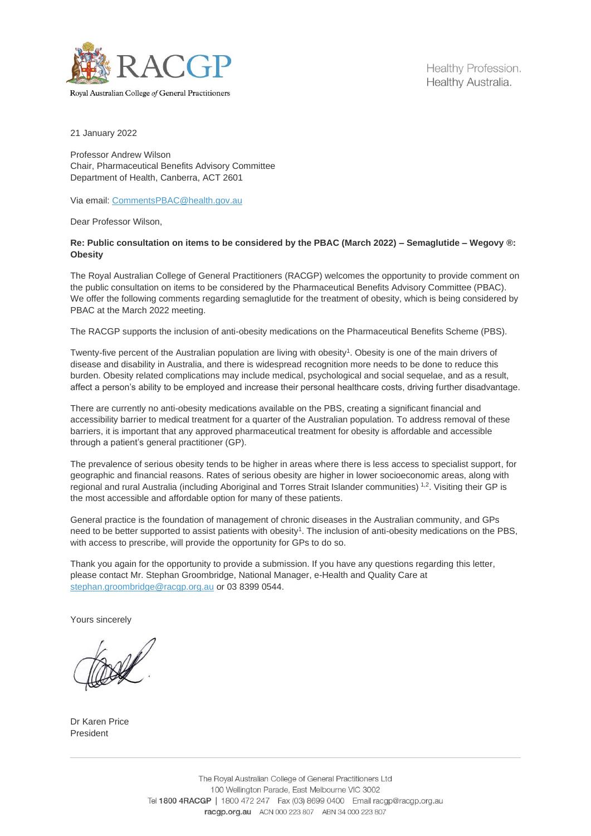

Healthy Profession. Healthy Australia.

Royal Australian College of General Practitioners

21 January 2022

Professor Andrew Wilson Chair, Pharmaceutical Benefits Advisory Committee Department of Health, Canberra, ACT 2601

Via email: [CommentsPBAC@health.gov.au](mailto:CommentsPBAC@health.gov.au)

Dear Professor Wilson,

## **Re: Public consultation on items to be considered by the PBAC (March 2022) – Semaglutide – Wegovy ®: Obesity**

The Royal Australian College of General Practitioners (RACGP) welcomes the opportunity to provide comment on the public consultation on items to be considered by the Pharmaceutical Benefits Advisory Committee (PBAC). We offer the following comments regarding semaglutide for the treatment of obesity, which is being considered by PBAC at the March 2022 meeting.

The RACGP supports the inclusion of anti-obesity medications on the Pharmaceutical Benefits Scheme (PBS).

Twenty-five percent of the Australian population are living with obesity<sup>1</sup>. Obesity is one of the main drivers of disease and disability in Australia, and there is widespread recognition more needs to be done to reduce this burden. Obesity related complications may include medical, psychological and social sequelae, and as a result, affect a person's ability to be employed and increase their personal healthcare costs, driving further disadvantage.

There are currently no anti-obesity medications available on the PBS, creating a significant financial and accessibility barrier to medical treatment for a quarter of the Australian population. To address removal of these barriers, it is important that any approved pharmaceutical treatment for obesity is affordable and accessible through a patient's general practitioner (GP).

The prevalence of serious obesity tends to be higher in areas where there is less access to specialist support, for geographic and financial reasons. Rates of serious obesity are higher in lower socioeconomic areas, along with regional and rural Australia (including Aboriginal and Torres Strait Islander communities) <sup>1,2</sup>. Visiting their GP is the most accessible and affordable option for many of these patients.

General practice is the foundation of management of chronic diseases in the Australian community, and GPs need to be better supported to assist patients with obesity<sup>1</sup>. The inclusion of anti-obesity medications on the PBS, with access to prescribe, will provide the opportunity for GPs to do so.

Thank you again for the opportunity to provide a submission. If you have any questions regarding this letter, please contact Mr. Stephan Groombridge, National Manager, e-Health and Quality Care at [stephan.groombridge@racgp.org.au](mailto:stephan.groombridge@racgp.org.au) or 03 8399 0544.

Yours sincerely

Dr Karen Price President